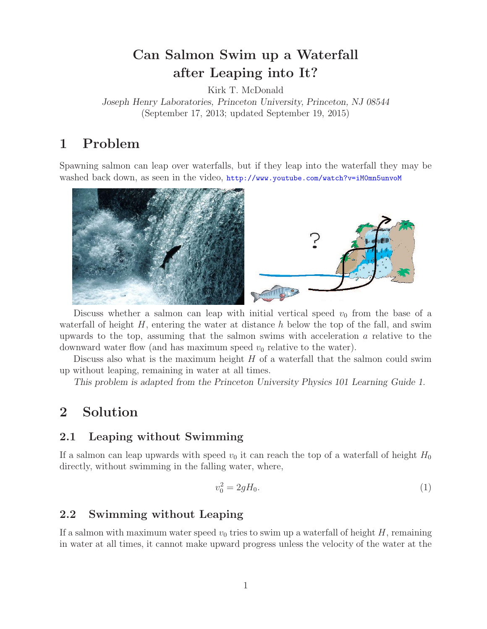# **Can Salmon Swim up a Waterfall**

**after Leaping into It?** Kirk T. McDonald *Joseph Henry Laboratories, Princeton University, Princeton, NJ 08544* (September 17, 2013; updated September 19, 2015)

Spawning salmon can leap over waterfalls, but if they leap into the waterfall they may be washed back down, as seen in the video, http://www.youtube.com/watch?v=iM0mn5unvoM



Discuss whether a salmon can leap with initial vertical speed  $v_0$  from the base of a waterfall of height  $H$ , entering the water at distance h below the top of the fall, and swim upwards to the top, assuming that the salmon swims with acceleration a relative to the downward water flow (and has maximum speed  $v_0$  relative to the water).

Discuss also what is the maximum height  $H$  of a waterfall that the salmon could swim up without leaping, remaining in water at all times.

*This problem is adapted from the Princeton University Physics 101 Learning Guide 1.*

## **2 Solution**

### **2.1 Leaping without Swimming**

If a salmon can leap upwards with speed  $v_0$  it can reach the top of a waterfall of height  $H_0$ <br>directly without swimming in the falling water, where directly, without swimming in the falling water, where,

$$
v_0^2 = 2gH_0.
$$
 (1)

#### $2.2$ **2.2 Swimming without Leaping**

If a salmon with maximum water speed  $v_0$  tries to swim up a waterfall of height H, remaining in water at all times, it cannot make upward progress unless the velocity of the water at the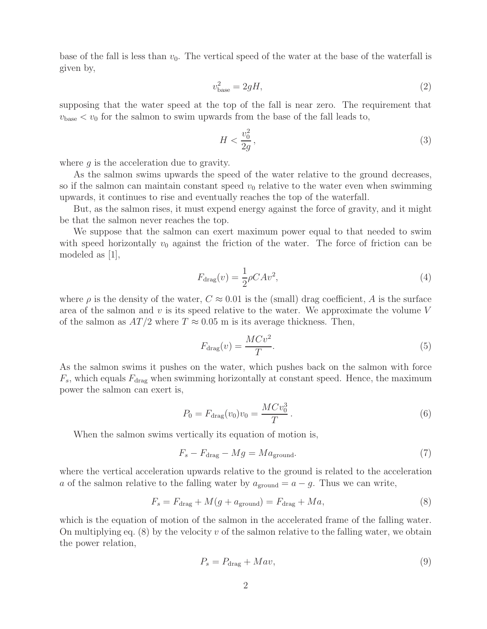base of the fall is less than  $v_0$ . The vertical speed of the water at the base of the waterfall is given by,

$$
v_{\text{base}}^2 = 2gH,\tag{2}
$$

supposing that the water speed at the top of the fall is near zero. The requirement that  $v_{\text{base}} < v_0$  for the salmon to swim upwards from the base of the fall leads to,

$$
H < \frac{v_0^2}{2g},\tag{3}
$$

where  $q$  is the acceleration due to gravity.

As the salmon swims upwards the speed of the water relative to the ground decreases, so if the salmon can maintain constant speed  $v_0$  relative to the water even when swimming upwards, it continues to rise and eventually reaches the top of the waterfall.

But, as the salmon rises, it must expend energy against the force of gravity, and it might be that the salmon never reaches the top.

We suppose that the salmon can exert maximum power equal to that needed to swim with speed horizontally  $v_0$  against the friction of the water. The force of friction can be modeled as [1],

$$
F_{\rm drag}(v) = \frac{1}{2}\rho C A v^2,\tag{4}
$$

where  $\rho$  is the density of the water,  $C \approx 0.01$  is the (small) drag coefficient, A is the surface area of the salmon and  $v$  is its speed relative to the water. We approximate the volume  $V$ of the salmon as  $AT/2$  where  $T \approx 0.05$  m is its average thickness. Then,

$$
F_{\text{drag}}(v) = \frac{MCv^2}{T}.
$$
\n(5)

As the salmon swims it pushes on the water, which pushes back on the salmon with force  $F_s$ , which equals  $F_{drag}$  when swimming horizontally at constant speed. Hence, the maximum power the salmon can exert is,

$$
P_0 = F_{\text{drag}}(v_0)v_0 = \frac{MCv_0^3}{T}.
$$
\n(6)

When the salmon swims vertically its equation of motion is,

$$
F_s - F_{\text{drag}} - Mg = Ma_{\text{ground}}.\tag{7}
$$

where the vertical acceleration upwards relative to the ground is related to the acceleration a of the salmon relative to the falling water by  $a_{\text{ground}} = a - g$ . Thus we can write,

$$
F_s = F_{\text{drag}} + M(g + a_{\text{ground}}) = F_{\text{drag}} + Ma,
$$
\n(8)

which is the equation of motion of the salmon in the accelerated frame of the falling water. On multiplying eq.  $(8)$  by the velocity v of the salmon relative to the falling water, we obtain the power relation,

$$
P_s = P_{\text{drag}} + Mav,\tag{9}
$$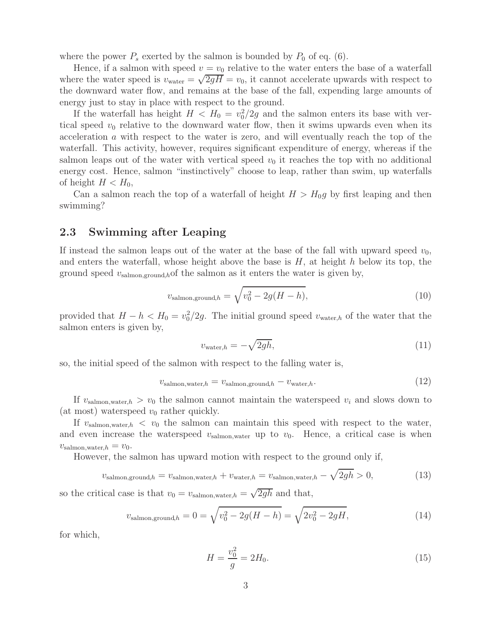where the power  $P_s$  exerted by the salmon is bounded by  $P_0$  of eq. (6).

Hence, if a salmon with speed  $v = v_0$  relative to the water enters the base of a waterfall where the water speed is  $v_{\text{water}} = \sqrt{2gH} = v_0$ , it cannot accelerate upwards with respect to the downward water flow, and remains at the base of the fall, expending large amounts of energy just to stay in place with respect to the ground.

If the waterfall has height  $H < H_0 = v_0^2/2g$  and the salmon enters its base with ver-<br>l speed  $v_0$  relative to the downward water flow, then it swims upwards even when its tical speed  $v_0$  relative to the downward water flow, then it swims upwards even when its acceleration a with respect to the water is zero, and will eventually reach the top of the waterfall. This activity, however, requires significant expenditure of energy, whereas if the salmon leaps out of the water with vertical speed  $v_0$  it reaches the top with no additional energy cost. Hence, salmon "instinctively" choose to leap, rather than swim, up waterfalls of height  $H < H_0$ ,

Can a salmon reach the top of a waterfall of height  $H > H_0q$  by first leaping and then swimming?

#### **2.3 Swimming after Leaping**

If instead the salmon leaps out of the water at the base of the fall with upward speed  $v_0$ , and enters the waterfall, whose height above the base is  $H$ , at height h below its top, the ground speed  $v_{\text{salmon,ground}}$ ,hof the salmon as it enters the water is given by,

$$
v_{\text{salmon,ground},h} = \sqrt{v_0^2 - 2g(H - h)},\tag{10}
$$

provided that  $H - h < H_0 = v_0^2/2g$ . The initial ground speed  $v_{\text{water},h}$  of the water that the salmon enters is given by salmon enters is given by,

$$
v_{\text{water},h} = -\sqrt{2gh},\tag{11}
$$

so, the initial speed of the salmon with respect to the falling water is,

$$
v_{\text{salmon,water},h} = v_{\text{salmon,ground},h} - v_{\text{water},h}.\tag{12}
$$

If  $v_{\text{salmon,water},h} > v_0$  the salmon cannot maintain the waterspeed  $v_i$  and slows down to (at most) waterspeed  $v_0$  rather quickly.

If  $v_{\text{salmon,water},h} < v_0$  the salmon can maintain this speed with respect to the water, and even increase the waterspeed  $v_{\text{salmon,water}}$  up to  $v_0$ . Hence, a critical case is when  $v_{\text{salmon,water},h} = v_0.$ 

However, the salmon has upward motion with respect to the ground only if,

$$
v_{\text{salmon,ground},h} = v_{\text{salmon,water},h} + v_{\text{water},h} = v_{\text{salmon,water},h} - \sqrt{2gh} > 0,\tag{13}
$$

so the critical case is that  $v_0 = v_{\text{salmon,water},h} = \sqrt{2gh}$  and that,

$$
v_{\text{salmon,ground},h} = 0 = \sqrt{v_0^2 - 2g(H - h)} = \sqrt{2v_0^2 - 2gH},\tag{14}
$$

for which,

$$
H = \frac{v_0^2}{g} = 2H_0.
$$
\n(15)